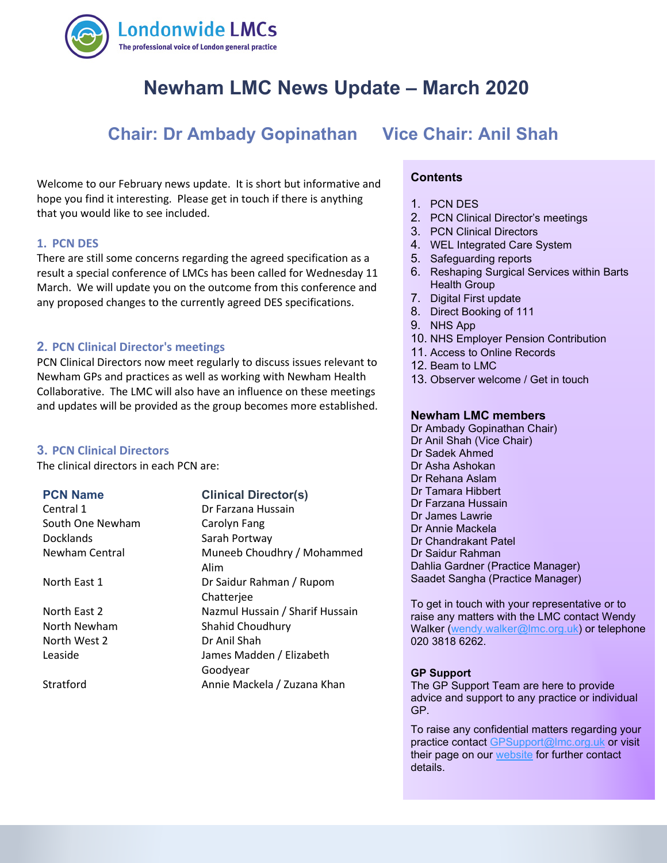

# **Newham LMC News Update – March 2020**

# **Chair: Dr Ambady Gopinathan Vice Chair: Anil Shah**

 that you would like to see included. Welcome to our February news update. It is short but informative and hope you find it interesting. Please get in touch if there is anything

## **1. PCN DES**

There are still some concerns regarding the agreed specification as a result a special conference of LMCs has been called for Wednesday 11 March. We will update you on the outcome from this conference and any proposed changes to the currently agreed DES specifications.

## **2. PCN Clinical Director's meetings**

PCN Clinical Directors now meet regularly to discuss issues relevant to Newham GPs and practices as well as working with Newham Health Collaborative. The LMC will also have an influence on these meetings and updates will be provided as the group becomes more established.

#### **3. PCN Clinical Directors**

The clinical directors in each PCN are:

Central 1 **Dr Farzana Hussain** South One Newham Carolyn Fang Docklands Sarah Portway

North West 2 Dr Anil Shah

# **PCN Name Clinical Director(s)**

Newham Central **Muneeb Choudhry / Mohammed** Alim North East 1 Dr Saidur Rahman / Rupom Chatterjee North East 2 Nazmul Hussain / Sharif Hussain North Newham Shahid Choudhury Leaside James Madden / Elizabeth Goodyear Stratford **Annie Mackela / Zuzana Khan** 

## **Contents**

- 1. PCN DES
- 2. PCN Clinical Director's meetings
- 3. PCN Clinical Directors
- 4. WEL Integrated Care System
- 5. Safeguarding reports
- 6. Reshaping Surgical Services within Barts Health Group
- 7. Digital First update
- 8. Direct Booking of 111
- 9. NHS App
- 10. NHS Employer Pension Contribution
- 11. Access to Online Records
- 12. Beam to LMC
- 13. Observer welcome / Get in touch

#### **Newham LMC members**

Dr Ambady Gopinathan Chair) Dr Anil Shah (Vice Chair) Dr Sadek Ahmed Dr Asha Ashokan Dr Rehana Aslam Dr Tamara Hibbert Dr Farzana Hussain Dr James Lawrie Dr Annie Mackela Dr Chandrakant Patel Dr Saidur Rahman Dahlia Gardner (Practice Manager) Saadet Sangha (Practice Manager)

To get in touch with your representative or to raise any matters with the LMC contact Wendy Walker [\(wendy.walker@lmc.org.uk\)](mailto:wendy.walker@lmc.org.uk) or telephone 020 3818 6262.

#### **GP Support**

The GP Support Team are here to provide advice and support to any practice or individual GP.

To raise any confidential matters regarding your practice contact [GPSupport@lmc.org.uk](mailto:GPSupport@lmc.org.uk) or visit their page on our [website](https://www.lmc.org.uk/page.php?id=39) for further contact details.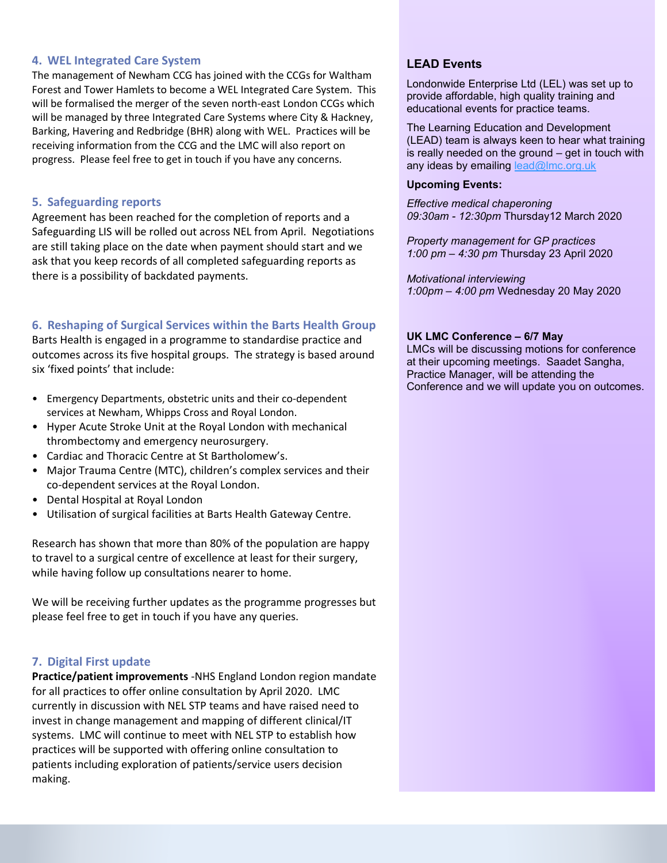# **4. WEL Integrated Care System**

The management of Newham CCG has joined with the CCGs for Waltham Forest and Tower Hamlets to become a WEL Integrated Care System. This will be formalised the merger of the seven north-east London CCGs which will be managed by three Integrated Care Systems where City & Hackney, Barking, Havering and Redbridge (BHR) along with WEL. Practices will be receiving information from the CCG and the LMC will also report on progress. Please feel free to get in touch if you have any concerns.

# **5. Safeguarding reports**

Agreement has been reached for the completion of reports and a Safeguarding LIS will be rolled out across NEL from April. Negotiations are still taking place on the date when payment should start and we ask that you keep records of all completed safeguarding reports as there is a possibility of backdated payments.

# **6. Reshaping of Surgical Services within the Barts Health Group**

Barts Health is engaged in a programme to standardise practice and outcomes across its five hospital groups. The strategy is based around six 'fixed points' that include:

- Emergency Departments, obstetric units and their co-dependent services at Newham, Whipps Cross and Royal London.
- Hyper Acute Stroke Unit at the Royal London with mechanical thrombectomy and emergency neurosurgery.
- Cardiac and Thoracic Centre at St Bartholomew's.
- Major Trauma Centre (MTC), children's complex services and their co-dependent services at the Royal London.
- Dental Hospital at Royal London
- Utilisation of surgical facilities at Barts Health Gateway Centre.

Research has shown that more than 80% of the population are happy to travel to a surgical centre of excellence at least for their surgery, while having follow up consultations nearer to home.

We will be receiving further updates as the programme progresses but please feel free to get in touch if you have any queries.

# **7. Digital First update**

**Practice/patient improvements** -NHS England London region mandate for all practices to offer online consultation by April 2020. LMC currently in discussion with NEL STP teams and have raised need to invest in change management and mapping of different clinical/IT systems. LMC will continue to meet with NEL STP to establish how practices will be supported with offering online consultation to patients including exploration of patients/service users decision making.

# **LEAD Events**

Londonwide Enterprise Ltd (LEL) was set up to provide affordable, high quality training and educational events for practice teams.

The Learning Education and Development (LEAD) team is always keen to hear what training is really needed on the ground – get in touch with any ideas by emailing lead@lmc.org.uk

#### **Upcoming Events:**

*Effective medical chaperoning 09:30am - 12:30pm* Thursday12 March 2020

*Property management for GP practices 1:00 pm – 4:30 pm* Thursday 23 April 2020

*Motivational interviewing 1:00pm – 4:00 pm* Wednesday 20 May 2020

## **UK LMC Conference – 6/7 May**

LMCs will be discussing motions for conference at their upcoming meetings. Saadet Sangha, Practice Manager, will be attending the Conference and we will update you on outcomes.